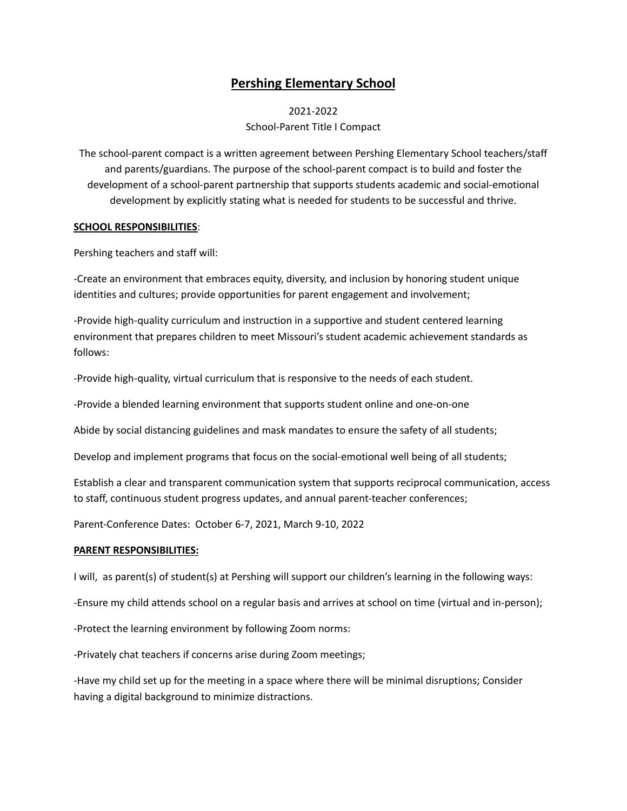## **Pershing Elementary School**

2021-2022 School-Parent Title I Compact

The school-parent compact is a written agreement between Pershing Elementary School teachers/staff and parents/guardians. The purpose of the school-parent compact is to build and foster the development of a school-parent partnership that supports students academic and social-emotional development by explicitly stating what is needed for students to be successful and thrive.

## **SCHOOL RESPONSIBILITIES**:

Pershing teachers and staff will:

-Create an environment that embraces equity, diversity, and inclusion by honoring student unique identities and cultures; provide opportunities for parent engagement and involvement;

-Provide high-quality curriculum and instruction in a supportive and student centered learning environment that prepares children to meet Missouri's student academic achievement standards as follows:

-Provide high-quality, virtual curriculum that is responsive to the needs of each student.

-Provide a blended learning environment that supports student online and one-on-one

Abide by social distancing guidelines and mask mandates to ensure the safety of all students;

Develop and implement programs that focus on the social-emotional well being of all students;

Establish a clear and transparent communication system that supports reciprocal communication, access to staff, continuous student progress updates, and annual parent-teacher conferences;

Parent-Conference Dates: October 6-7, 2021, March 9-10, 2022

## **PARENT RESPONSIBILITIES:**

I will, as parent(s) of student(s) at Pershing will support our children's learning in the following ways:

-Ensure my child attends school on a regular basis and arrives at school on time (virtual and in-person);

-Protect the learning environment by following Zoom norms:

-Privately chat teachers if concerns arise during Zoom meetings;

-Have my child set up for the meeting in a space where there will be minimal disruptions; Consider having a digital background to minimize distractions.